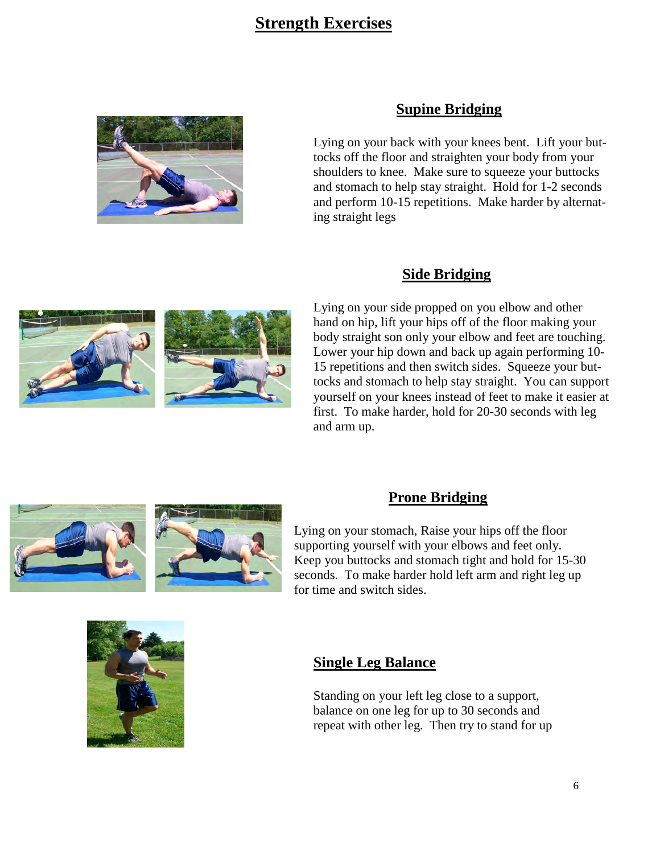# **Strength Exercises**



#### **Supine Bridging**

Lying on your back with your knees bent. Lift your buttocks off the floor and straighten your body from your shoulders to knee. Make sure to squeeze your buttocks and stomach to help stay straight. Hold for 1-2 seconds and perform 10-15 repetitions. Make harder by alternating straight legs

#### **Side Bridging**

Lying on your side propped on you elbow and other hand on hip, lift your hips off of the floor making your body straight son only your elbow and feet are touching. Lower your hip down and back up again performing 10- 15 repetitions and then switch sides. Squeeze your buttocks and stomach to help stay straight. You can support yourself on your knees instead of feet to make it easier at first. To make harder, hold for 20-30 seconds with leg and arm up.





#### **Prone Bridging**

Lying on your stomach, Raise your hips off the floor supporting yourself with your elbows and feet only. Keep you buttocks and stomach tight and hold for 15-30 seconds. To make harder hold left arm and right leg up for time and switch sides.



#### **Single Leg Balance**

Standing on your left leg close to a support, balance on one leg for up to 30 seconds and repeat with other leg. Then try to stand for up

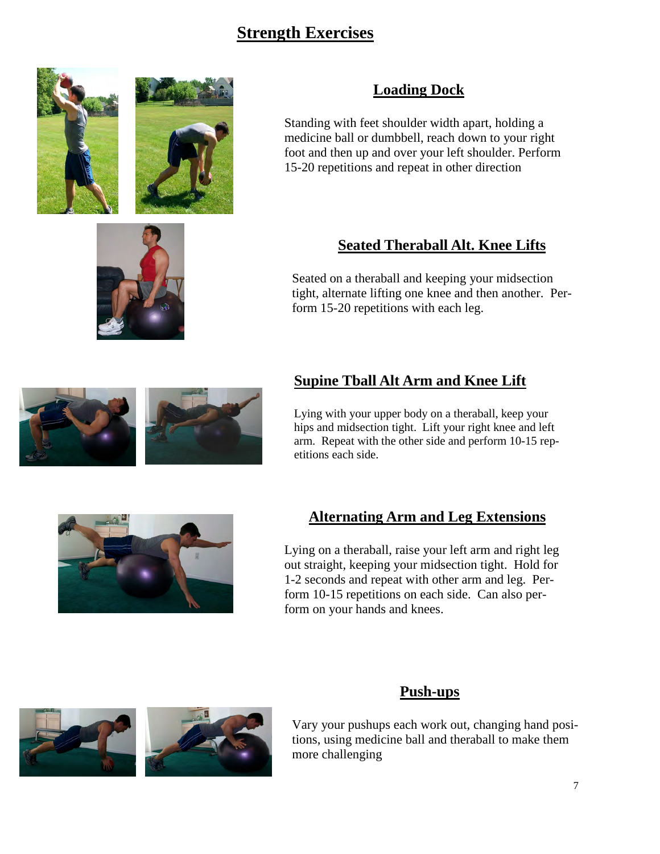# **Strength Exercises**





# **Loading Dock**

Standing with feet shoulder width apart, holding a medicine ball or dumbbell, reach down to your right foot and then up and over your left shoulder. Perform 15-20 repetitions and repeat in other direction

# **Seated Theraball Alt. Knee Lifts**

Seated on a theraball and keeping your midsection tight, alternate lifting one knee and then another. Perform 15-20 repetitions with each leg.

## **Supine Tball Alt Arm and Knee Lift**

Lying with your upper body on a theraball, keep your hips and midsection tight. Lift your right knee and left arm. Repeat with the other side and perform 10-15 repetitions each side.



## **Alternating Arm and Leg Extensions**

Lying on a theraball, raise your left arm and right leg out straight, keeping your midsection tight. Hold for 1-2 seconds and repeat with other arm and leg. Perform 10-15 repetitions on each side. Can also perform on your hands and knees.



#### **Push-ups**

Vary your pushups each work out, changing hand positions, using medicine ball and theraball to make them more challenging